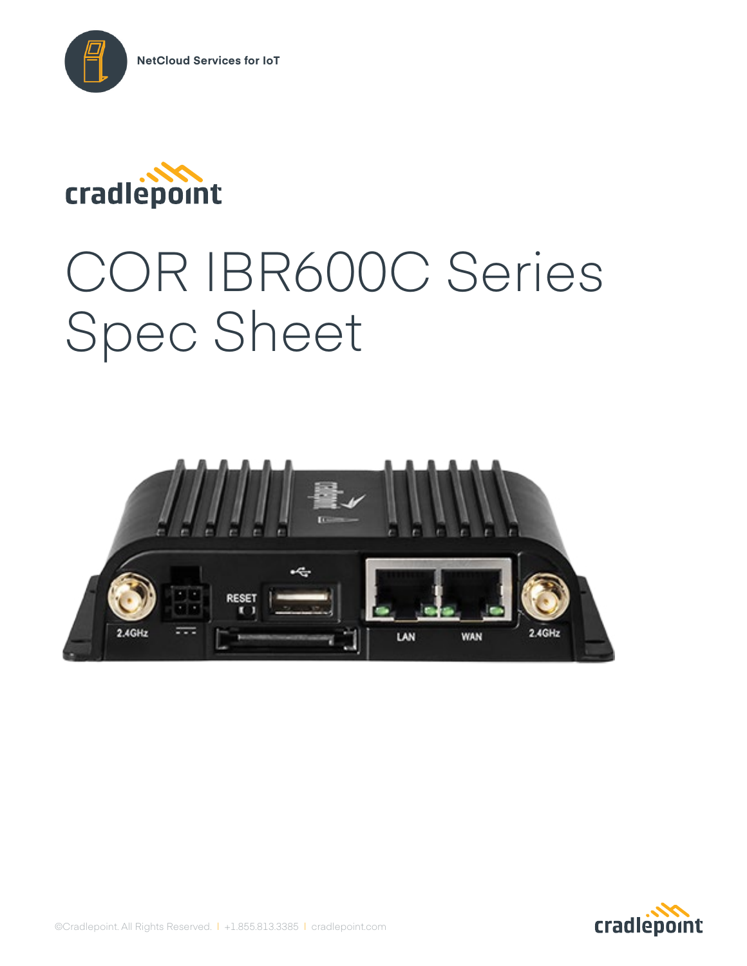



# COR IBR600C Series Spec Sheet



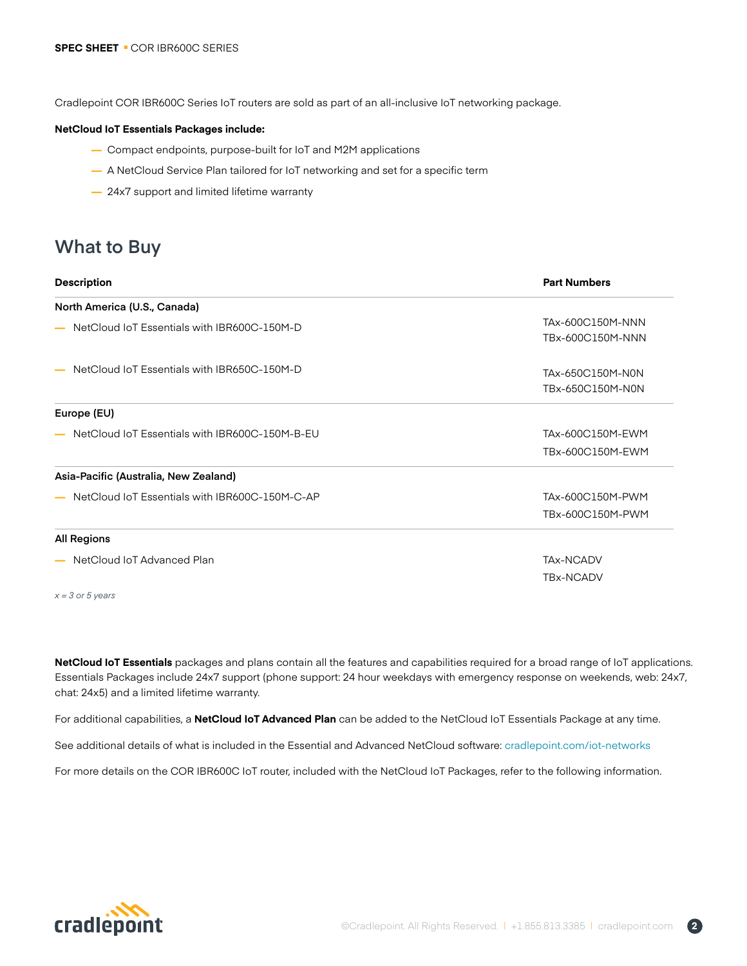Cradlepoint COR IBR600C Series IoT routers are sold as part of an all-inclusive IoT networking package.

#### **NetCloud IoT Essentials Packages include:**

- **—** Compact endpoints, purpose-built for IoT and M2M applications
- **—** A NetCloud Service Plan tailored for IoT networking and set for a specific term
- **—** 24x7 support and limited lifetime warranty

# **What to Buy**

| <b>Description</b>                             | <b>Part Numbers</b> |
|------------------------------------------------|---------------------|
| North America (U.S., Canada)                   |                     |
| NetCloud IoT Essentials with IBR600C-150M-D    | TAx-600C150M-NNN    |
|                                                | TBx-600C150M-NNN    |
| NetCloud IoT Essentials with IBR650C-150M-D    | TAx-650C150M-N0N    |
|                                                | TBx-650C150M-N0N    |
| Europe (EU)                                    |                     |
| NetCloud IoT Essentials with IBR600C-150M-B-EU | TAx-600C150M-EWM    |
|                                                | TBx-600C150M-EWM    |
| Asia-Pacific (Australia, New Zealand)          |                     |
| NetCloud IoT Essentials with IBR600C-150M-C-AP | TAx-600C150M-PWM    |
|                                                | TBx-600C150M-PWM    |
| <b>All Regions</b>                             |                     |
| NetCloud IoT Advanced Plan                     | <b>TAx-NCADV</b>    |
|                                                | <b>TBx-NCADV</b>    |
|                                                |                     |

**NetCloud IoT Essentials** packages and plans contain all the features and capabilities required for a broad range of IoT applications. Essentials Packages include 24x7 support (phone support: 24 hour weekdays with emergency response on weekends, web: 24x7, chat: 24x5) and a limited lifetime warranty.

For additional capabilities, a **NetCloud IoT Advanced Plan** can be added to the NetCloud IoT Essentials Package at any time.

See additional details of what is included in the Essential and Advanced NetCloud software: cradlepoint.com/iot-networks

For more details on the COR IBR600C IoT router, included with the NetCloud IoT Packages, refer to the following information.



*x = 3 or 5 years*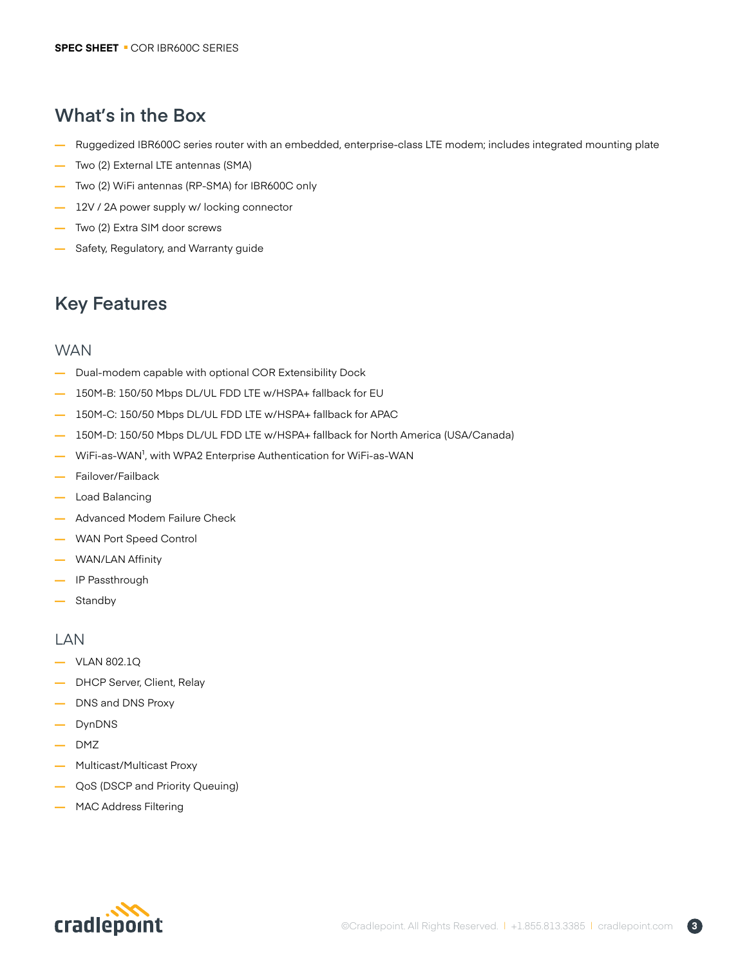# **What's in the Box**

- **—** Ruggedized IBR600C series router with an embedded, enterprise-class LTE modem; includes integrated mounting plate
- **—** Two (2) External LTE antennas (SMA)
- **—** Two (2) WiFi antennas (RP-SMA) for IBR600C only
- **—** 12V / 2A power supply w/ locking connector
- **—** Two (2) Extra SIM door screws
- **—** Safety, Regulatory, and Warranty guide

# **Key Features**

### **WAN**

- **—** Dual-modem capable with optional COR Extensibility Dock
- **—** 150M-B: 150/50 Mbps DL/UL FDD LTE w/HSPA+ fallback for EU
- **—** 150M-C: 150/50 Mbps DL/UL FDD LTE w/HSPA+ fallback for APAC
- **—** 150M-D: 150/50 Mbps DL/UL FDD LTE w/HSPA+ fallback for North America (USA/Canada)
- **—** WiFi-as-WAN<sup>1</sup>, with WPA2 Enterprise Authentication for WiFi-as-WAN
- **—** Failover/Failback
- **—** Load Balancing
- **—** Advanced Modem Failure Check
- **—** WAN Port Speed Control
- **—** WAN/LAN Affinity
- **—** IP Passthrough
- **—** Standby

### LAN

- **—** VLAN 802.1Q
- **—** DHCP Server, Client, Relay
- **—** DNS and DNS Proxy
- **—** DynDNS
- **—** DMZ
- **—** Multicast/Multicast Proxy
- **—** QoS (DSCP and Priority Queuing)
- **—** MAC Address Filtering

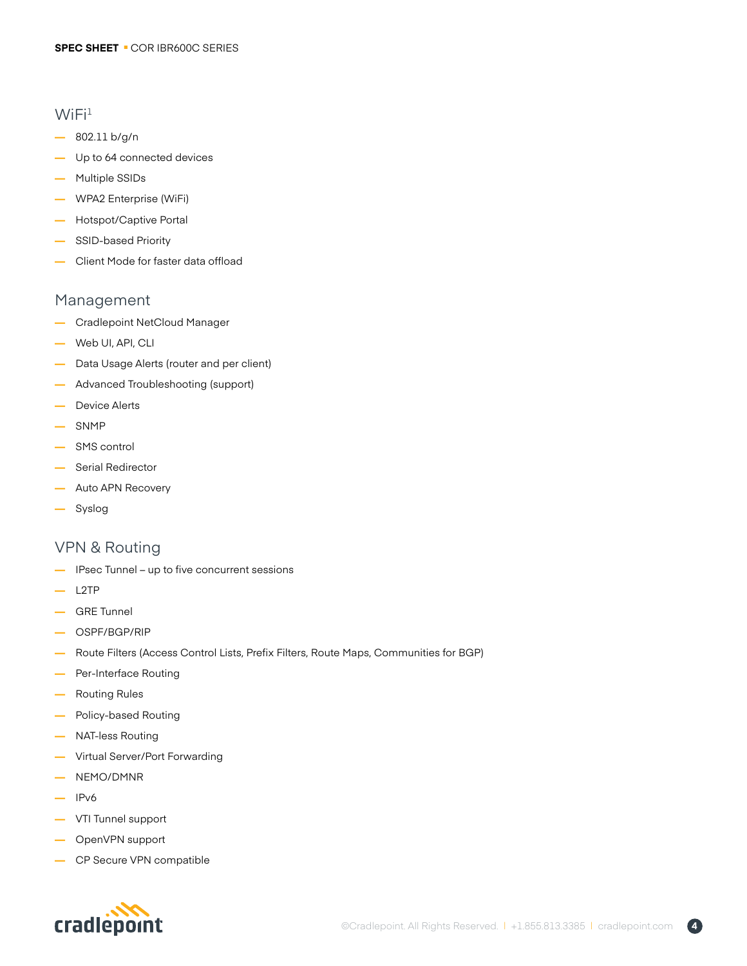### $WiFi<sup>1</sup>$

- **—** 802.11 b/g/n
- **—** Up to 64 connected devices
- **—** Multiple SSIDs
- **—** WPA2 Enterprise (WiFi)
- **—** Hotspot/Captive Portal
- **—** SSID-based Priority
- **—** Client Mode for faster data offload

### Management

- **—** Cradlepoint NetCloud Manager
- **—** Web UI, API, CLI
- **—** Data Usage Alerts (router and per client)
- **—** Advanced Troubleshooting (support)
- **—** Device Alerts
- **—** SNMP
- **—** SMS control
- **—** Serial Redirector
- **—** Auto APN Recovery
- **—** Syslog

### VPN & Routing

- **—** IPsec Tunnel up to five concurrent sessions
- **—** L2TP
- **—** GRE Tunnel
- **—** OSPF/BGP/RIP
- **—** Route Filters (Access Control Lists, Prefix Filters, Route Maps, Communities for BGP)
- **—** Per-Interface Routing
- **—** Routing Rules
- **—** Policy-based Routing
- **—** NAT-less Routing
- **—** Virtual Server/Port Forwarding
- **—** NEMO/DMNR
- **—** IPv6
- **—** VTI Tunnel support
- **—** OpenVPN support
- **—** CP Secure VPN compatible



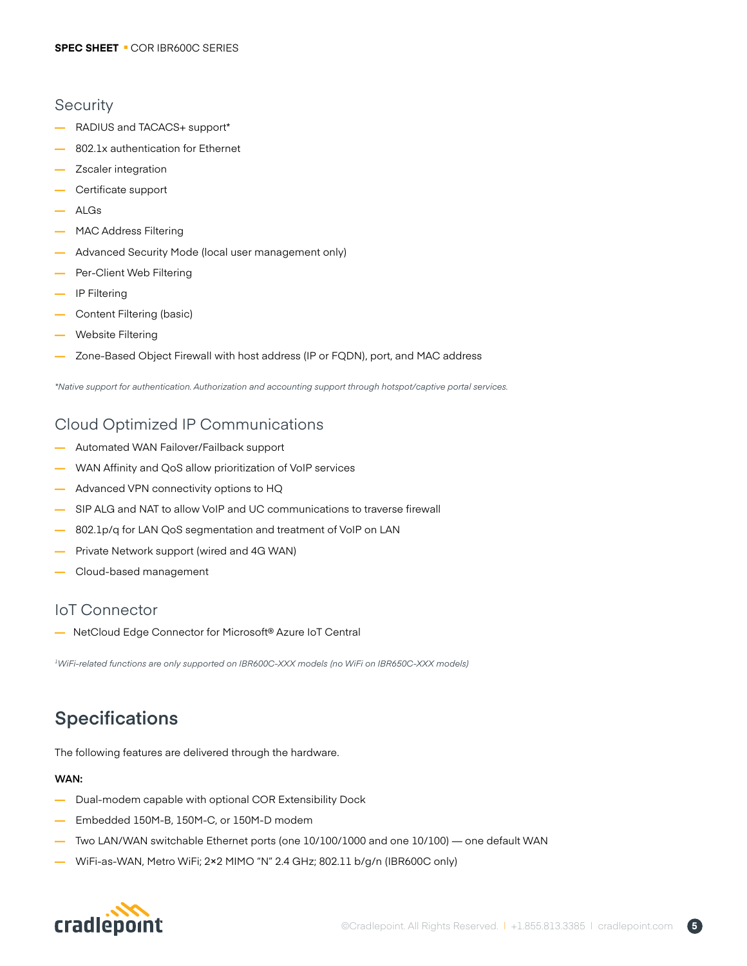### **Security**

- **—** RADIUS and TACACS+ support\*
- **—** 802.1x authentication for Ethernet
- **—** Zscaler integration
- **—** Certificate support
- **—** ALGs
- **—** MAC Address Filtering
- **—** Advanced Security Mode (local user management only)
- **—** Per-Client Web Filtering
- **—** IP Filtering
- **—** Content Filtering (basic)
- **—** Website Filtering
- **—** Zone-Based Object Firewall with host address (IP or FQDN), port, and MAC address

*\*Native support for authentication. Authorization and accounting support through hotspot/captive portal services.*

# Cloud Optimized IP Communications

- **—** Automated WAN Failover/Failback support
- **—** WAN Affinity and QoS allow prioritization of VoIP services
- **—** Advanced VPN connectivity options to HQ
- SIP ALG and NAT to allow VoIP and UC communications to traverse firewall
- **—** 802.1p/q for LAN QoS segmentation and treatment of VoIP on LAN
- **—** Private Network support (wired and 4G WAN)
- **—** Cloud-based management

### IoT Connector

**—** NetCloud Edge Connector for Microsoft® Azure IoT Central

*1WiFi-related functions are only supported on IBR600C-XXX models (no WiFi on IBR650C-XXX models)*

# **Specifications**

The following features are delivered through the hardware.

### **WAN:**

- **—** Dual-modem capable with optional COR Extensibility Dock
- **—** Embedded 150M-B, 150M-C, or 150M-D modem
- **—** Two LAN/WAN switchable Ethernet ports (one 10/100/1000 and one 10/100) one default WAN
- **—** WiFi-as-WAN, Metro WiFi; 2×2 MIMO "N" 2.4 GHz; 802.11 b/g/n (IBR600C only)

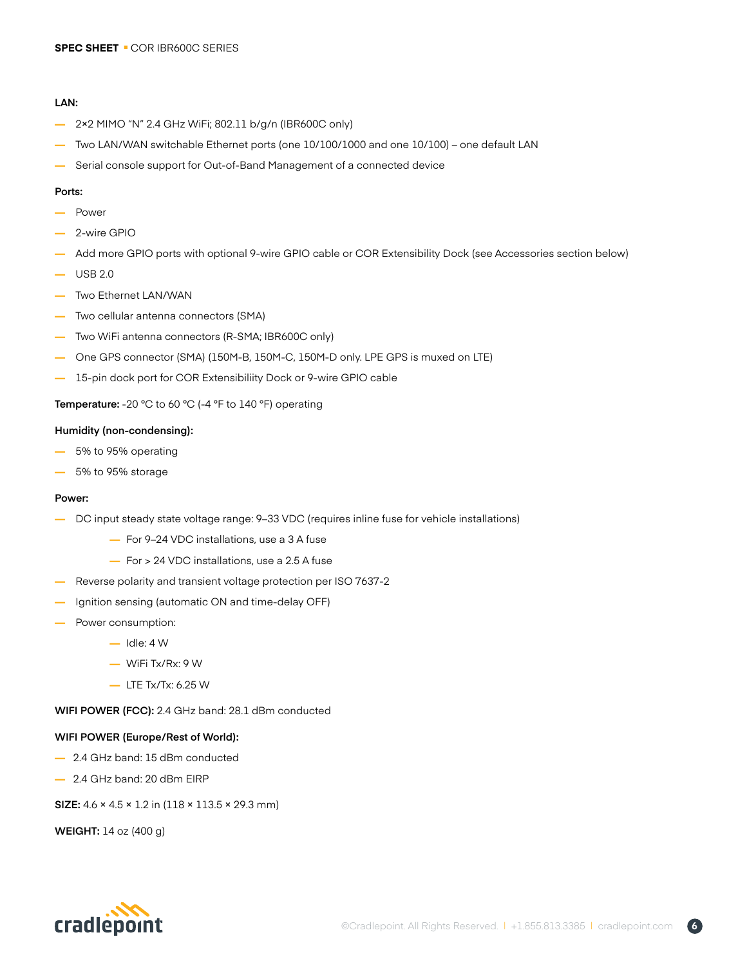#### **LAN:**

- **—** 2×2 MIMO "N" 2.4 GHz WiFi; 802.11 b/g/n (IBR600C only)
- **—** Two LAN/WAN switchable Ethernet ports (one 10/100/1000 and one 10/100) one default LAN
- **—** Serial console support for Out-of-Band Management of a connected device

#### **Ports:**

- **—** Power
- **—** 2-wire GPIO
- **—** Add more GPIO ports with optional 9-wire GPIO cable or COR Extensibility Dock (see Accessories section below)
- **—** USB 2.0
- **—** Two Ethernet LAN/WAN
- **—** Two cellular antenna connectors (SMA)
- **—** Two WiFi antenna connectors (R-SMA; IBR600C only)
- **—** One GPS connector (SMA) (150M-B, 150M-C, 150M-D only. LPE GPS is muxed on LTE)
- **—** 15-pin dock port for COR Extensibiliity Dock or 9-wire GPIO cable

**Temperature:** -20 °C to 60 °C (-4 °F to 140 °F) operating

#### **Humidity (non-condensing):**

- **—** 5% to 95% operating
- **—** 5% to 95% storage

#### **Power:**

- **—** DC input steady state voltage range: 9–33 VDC (requires inline fuse for vehicle installations)
	- **—** For 9–24 VDC installations, use a 3 A fuse
	- **—** For > 24 VDC installations, use a 2.5 A fuse
- **—** Reverse polarity and transient voltage protection per ISO 7637-2
- Ignition sensing (automatic ON and time-delay OFF)
- **—** Power consumption:
	- **—** Idle: 4 W
	- **—** WiFi Tx/Rx: 9 W
	- **—** LTE Tx/Tx: 6.25 W

**WIFI POWER (FCC):** 2.4 GHz band: 28.1 dBm conducted

#### **WIFI POWER (Europe/Rest of World):**

- **—** 2.4 GHz band: 15 dBm conducted
- **—** 2.4 GHz band: 20 dBm EIRP

**SIZE:** 4.6 × 4.5 × 1.2 in (118 × 113.5 × 29.3 mm)

**WEIGHT:** 14 oz (400 g)

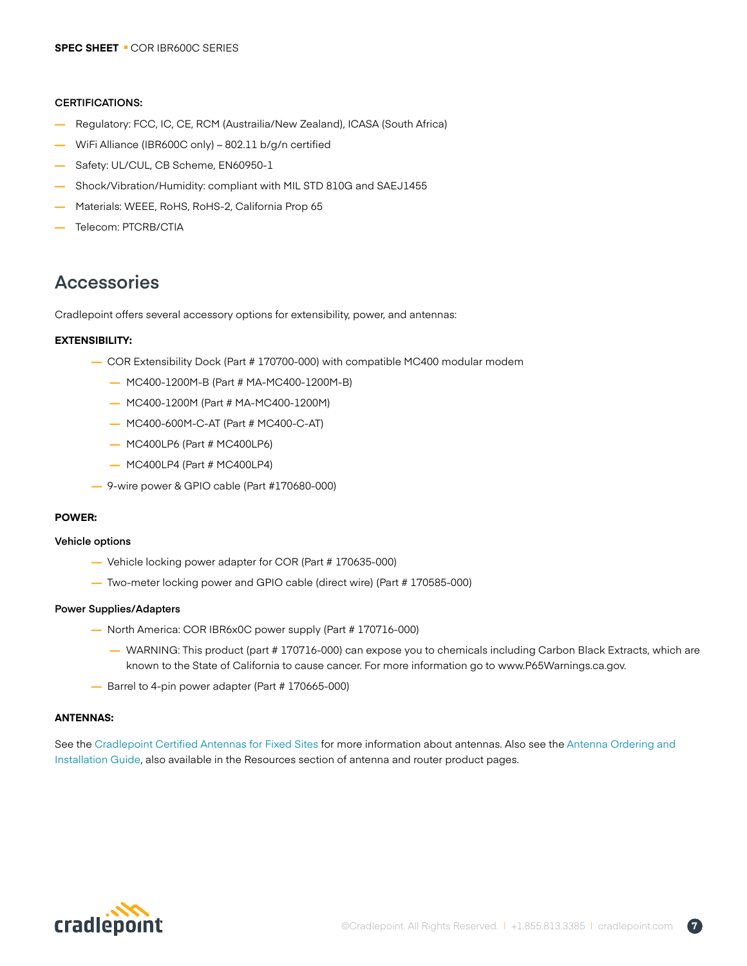#### **CERTIFICATIONS:**

- **—** Regulatory: FCC, IC, CE, RCM (Austrailia/New Zealand), ICASA (South Africa)
- **—** WiFi Alliance (IBR600C only) 802.11 b/g/n certified
- **—** Safety: UL/CUL, CB Scheme, EN60950-1
- **—** Shock/Vibration/Humidity: compliant with MIL STD 810G and SAEJ1455
- **—** Materials: WEEE, RoHS, RoHS-2, California Prop 65
- **—** Telecom: PTCRB/CTIA

# **Accessories**

Cradlepoint offers several accessory options for extensibility, power, and antennas:

### **EXTENSIBILITY:**

- **—** COR Extensibility Dock (Part # 170700-000) with compatible MC400 modular modem
	- **—** MC400-1200M-B (Part # MA-MC400-1200M-B)
	- **—** MC400-1200M (Part # MA-MC400-1200M)
	- **—** MC400-600M-C-AT (Part # MC400-C-AT)
	- **—** MC400LP6 (Part # MC400LP6)
	- **—** MC400LP4 (Part # MC400LP4)
- **—** 9-wire power & GPIO cable (Part #170680-000)

### **POWER:**

### **Vehicle options**

- **—** Vehicle locking power adapter for COR (Part # 170635-000)
- **—** Two-meter locking power and GPIO cable (direct wire) (Part # 170585-000)

### **Power Supplies/Adapters**

- **—** North America: COR IBR6x0C power supply (Part # 170716-000)
	- **—** WARNING: This product (part # 170716-000) can expose you to chemicals including Carbon Black Extracts, which are known to the State of California to cause cancer. For more information go to www.P65Warnings.ca.gov.
- **—** Barrel to 4-pin power adapter (Part # 170665-000)

### **ANTENNAS:**

See the Cradlepoint Certified Antennas for Fixed Sites for more information about antennas. Also see the Antenna Ordering and Installation Guide, also available in the Resources section of antenna and router product pages.

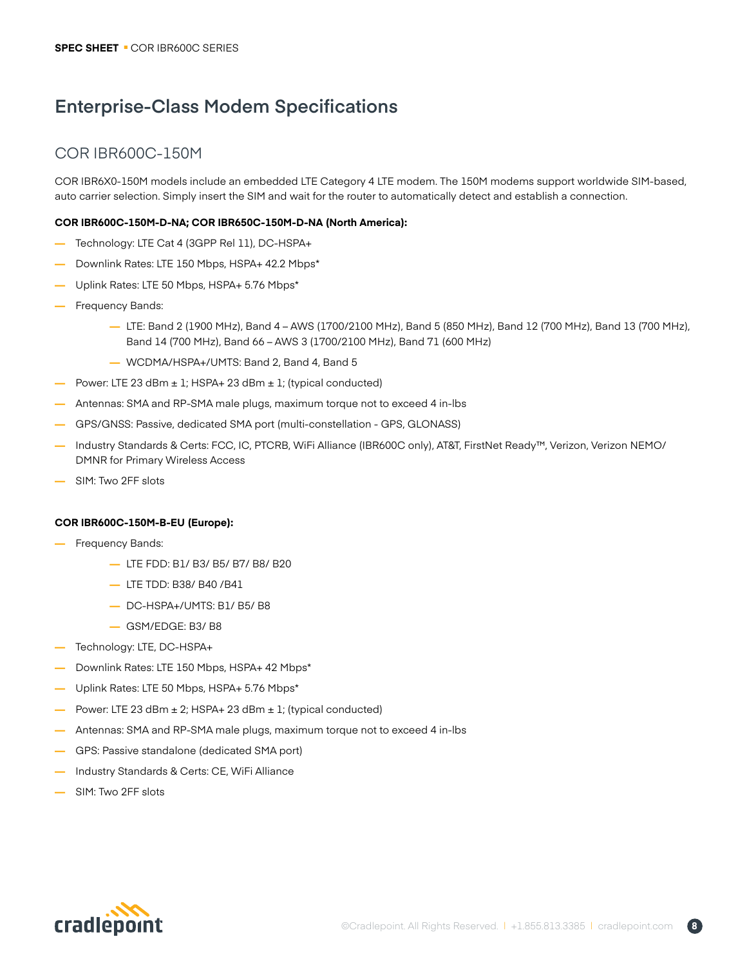# **Enterprise-Class Modem Specifications**

# COR IBR600C-150M

COR IBR6X0-150M models include an embedded LTE Category 4 LTE modem. The 150M modems support worldwide SIM-based, auto carrier selection. Simply insert the SIM and wait for the router to automatically detect and establish a connection.

### **COR IBR600C-150M-D-NA; COR IBR650C-150M-D-NA (North America):**

- **—** Technology: LTE Cat 4 (3GPP Rel 11), DC-HSPA+
- **—** Downlink Rates: LTE 150 Mbps, HSPA+ 42.2 Mbps\*
- **—** Uplink Rates: LTE 50 Mbps, HSPA+ 5.76 Mbps\*
- **—** Frequency Bands:
	- **—** LTE: Band 2 (1900 MHz), Band 4 AWS (1700/2100 MHz), Band 5 (850 MHz), Band 12 (700 MHz), Band 13 (700 MHz), Band 14 (700 MHz), Band 66 – AWS 3 (1700/2100 MHz), Band 71 (600 MHz)
	- **—** WCDMA/HSPA+/UMTS: Band 2, Band 4, Band 5
- Power: LTE 23 dBm ± 1; HSPA+ 23 dBm ± 1; (typical conducted)
- **—** Antennas: SMA and RP-SMA male plugs, maximum torque not to exceed 4 in-lbs
- **—** GPS/GNSS: Passive, dedicated SMA port (multi-constellation GPS, GLONASS)
- **—** Industry Standards & Certs: FCC, IC, PTCRB, WiFi Alliance (IBR600C only), AT&T, FirstNet Ready™, Verizon, Verizon NEMO/ DMNR for Primary Wireless Access
- **—** SIM: Two 2FF slots

### **COR IBR600C-150M-B-EU (Europe):**

- **—** Frequency Bands:
	- **—** LTE FDD: B1/ B3/ B5/ B7/ B8/ B20
	- **—** LTE TDD: B38/ B40 /B41
	- **—** DC-HSPA+/UMTS: B1/ B5/ B8
	- **—** GSM/EDGE: B3/ B8
- **—** Technology: LTE, DC-HSPA+
- **—** Downlink Rates: LTE 150 Mbps, HSPA+ 42 Mbps\*
- **—** Uplink Rates: LTE 50 Mbps, HSPA+ 5.76 Mbps\*
- Power: LTE 23 dBm ± 2; HSPA+ 23 dBm ± 1; (typical conducted)
- **—** Antennas: SMA and RP-SMA male plugs, maximum torque not to exceed 4 in-lbs
- **—** GPS: Passive standalone (dedicated SMA port)
- **—** Industry Standards & Certs: CE, WiFi Alliance
- **—** SIM: Two 2FF slots

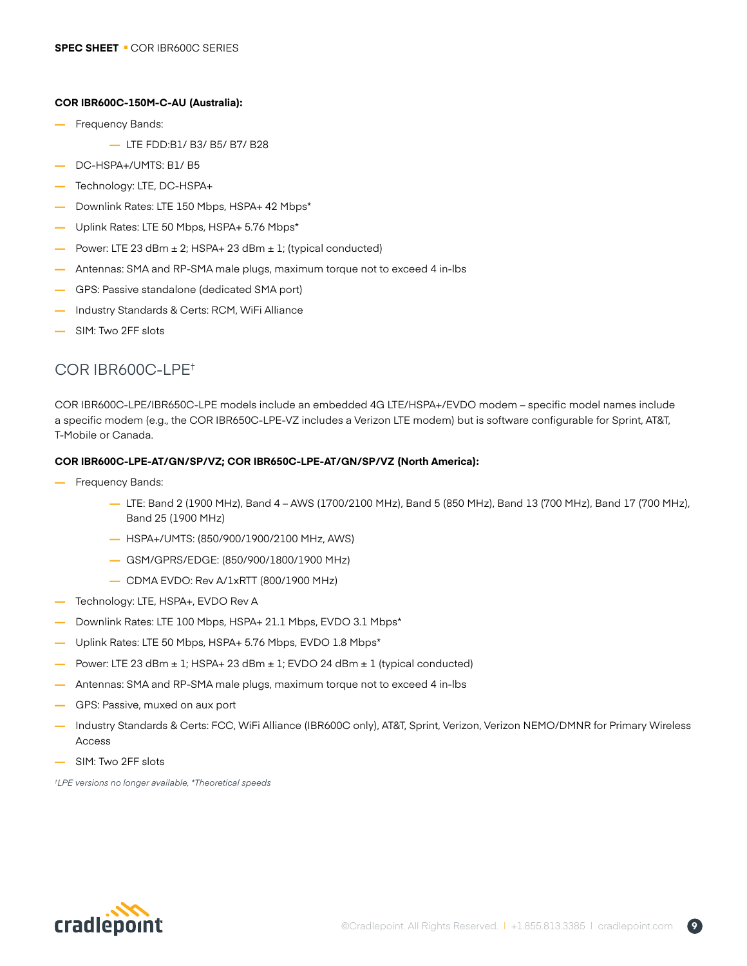### **COR IBR600C-150M-C-AU (Australia):**

- **—** Frequency Bands:
	- **—** LTE FDD:B1/ B3/ B5/ B7/ B28
- **—** DC-HSPA+/UMTS: B1/ B5
- **—** Technology: LTE, DC-HSPA+
- **—** Downlink Rates: LTE 150 Mbps, HSPA+ 42 Mbps\*
- **—** Uplink Rates: LTE 50 Mbps, HSPA+ 5.76 Mbps\*
- **—** Power: LTE 23 dBm ± 2; HSPA+ 23 dBm ± 1; (typical conducted)
- **—** Antennas: SMA and RP-SMA male plugs, maximum torque not to exceed 4 in-lbs
- **—** GPS: Passive standalone (dedicated SMA port)
- **—** Industry Standards & Certs: RCM, WiFi Alliance
- **—** SIM: Two 2FF slots

## COR IBR600C-LPE†

COR IBR600C-LPE/IBR650C-LPE models include an embedded 4G LTE/HSPA+/EVDO modem – specific model names include a specific modem (e.g., the COR IBR650C-LPE-VZ includes a Verizon LTE modem) but is software configurable for Sprint, AT&T, T-Mobile or Canada.

### **COR IBR600C-LPE-AT/GN/SP/VZ; COR IBR650C-LPE-AT/GN/SP/VZ (North America):**

- **—** Frequency Bands:
	- **—** LTE: Band 2 (1900 MHz), Band 4 AWS (1700/2100 MHz), Band 5 (850 MHz), Band 13 (700 MHz), Band 17 (700 MHz), Band 25 (1900 MHz)
	- **—** HSPA+/UMTS: (850/900/1900/2100 MHz, AWS)
	- **—** GSM/GPRS/EDGE: (850/900/1800/1900 MHz)
	- **—** CDMA EVDO: Rev A/1xRTT (800/1900 MHz)
- **—** Technology: LTE, HSPA+, EVDO Rev A
- **—** Downlink Rates: LTE 100 Mbps, HSPA+ 21.1 Mbps, EVDO 3.1 Mbps\*
- Uplink Rates: LTE 50 Mbps, HSPA+ 5.76 Mbps, EVDO 1.8 Mbps<sup>\*</sup>
- Power: LTE 23 dBm ± 1; HSPA+ 23 dBm ± 1; EVDO 24 dBm ± 1 (typical conducted)
- **—** Antennas: SMA and RP-SMA male plugs, maximum torque not to exceed 4 in-lbs
- GPS: Passive, muxed on aux port
- **—** Industry Standards & Certs: FCC, WiFi Alliance (IBR600C only), AT&T, Sprint, Verizon, Verizon NEMO/DMNR for Primary Wireless Access
- **—** SIM: Two 2FF slots

*† LPE versions no longer available, \*Theoretical speeds*

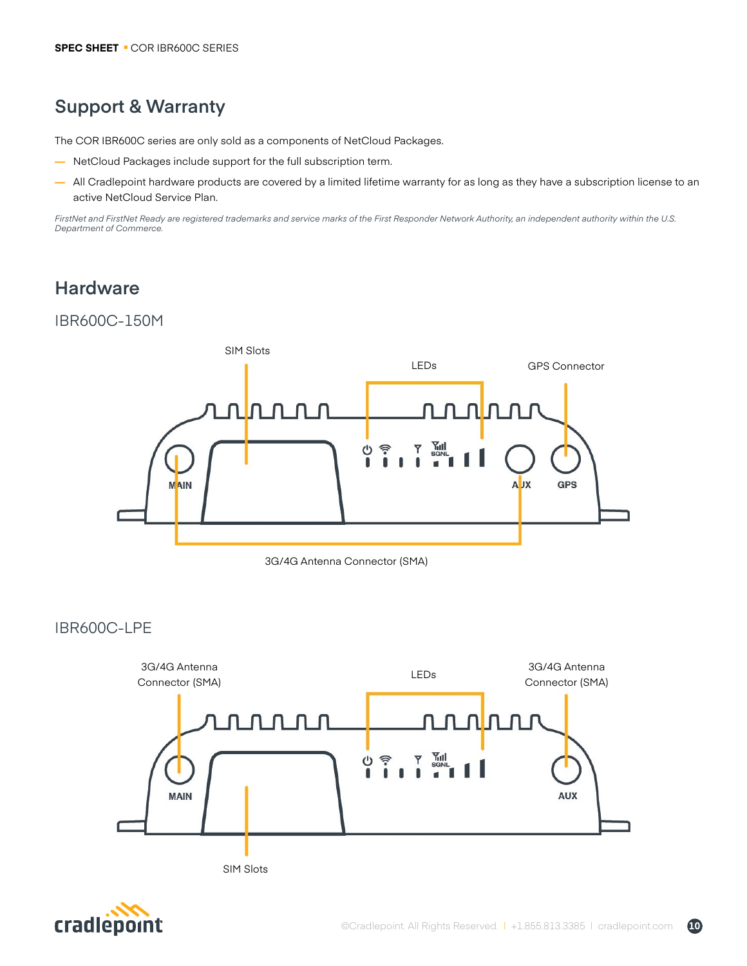# **Support & Warranty**

The COR IBR600C series are only sold as a components of NetCloud Packages.

- **—** NetCloud Packages include support for the full subscription term.
- **—** All Cradlepoint hardware products are covered by a limited lifetime warranty for as long as they have a subscription license to an active NetCloud Service Plan.

*FirstNet and FirstNet Ready are registered trademarks and service marks of the First Responder Network Authority, an independent authority within the U.S. Department of Commerce.*

# **Hardware**

## IBR600C-150M





### IBR600C-LPE



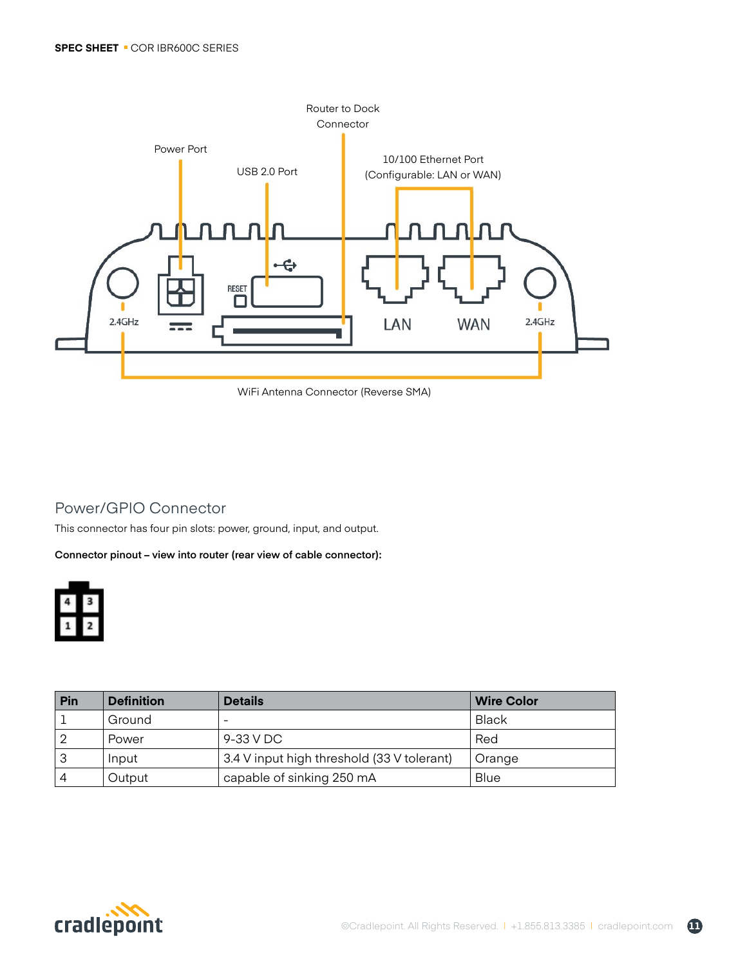

WiFi Antenna Connector (Reverse SMA)

# Power/GPIO Connector

This connector has four pin slots: power, ground, input, and output.

**Connector pinout – view into router (rear view of cable connector):**



| Pin | <b>Definition</b> | <b>Details</b>                             | <b>Wire Color</b> |
|-----|-------------------|--------------------------------------------|-------------------|
|     | Ground            |                                            | Black             |
|     | Power             | 9-33 V DC                                  | Red               |
| 3   | Input             | 3.4 V input high threshold (33 V tolerant) | Orange            |
| 4   | Output            | capable of sinking 250 mA                  | Blue              |